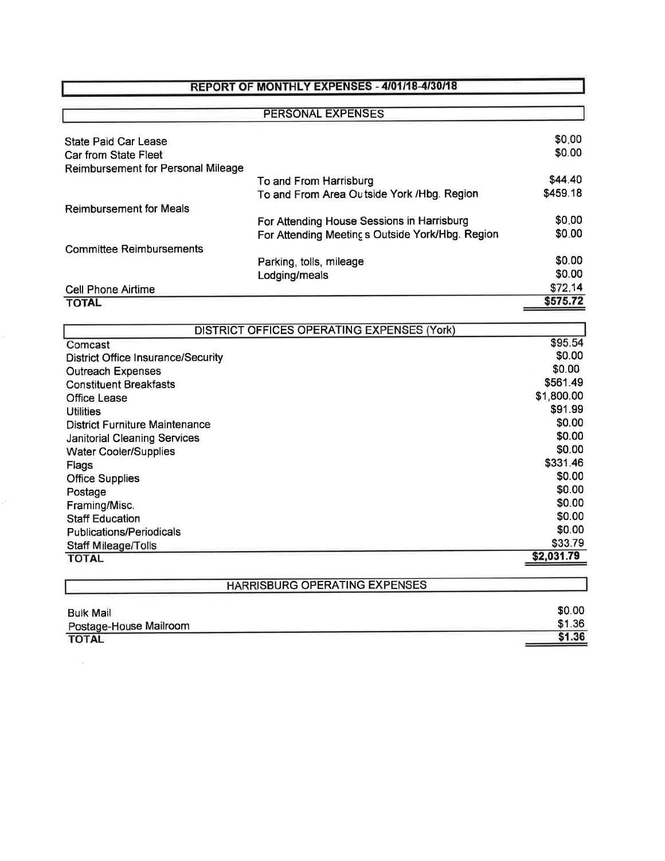## REPORT OF MONTHLY EXPENSES - 4/01/18-4/30/18

| <b>Committee Reimbursements</b>              | For Attending Meeting s Outside York/Hbg. Region                      |                     |
|----------------------------------------------|-----------------------------------------------------------------------|---------------------|
| <b>Reimbursement for Meals</b>               | For Attending House Sessions in Harrisburg                            | \$0.00<br>\$0.00    |
|                                              | To and From Harrisburg<br>To and From Area Outside York / Hbg. Region | \$44.40<br>\$459.18 |
| Reimbursement for Personal Mileage           |                                                                       |                     |
| State Paid Car Lease<br>Car from State Fleet |                                                                       | \$0.00<br>\$0.00    |
|                                              | <b>PERSONAL EXPENSES</b>                                              |                     |

| <b>DISTRICT OFFICES OPERATING EXPENSES (York)</b> |            |
|---------------------------------------------------|------------|
| Comcast                                           | \$95.54    |
| <b>District Office Insurance/Security</b>         | \$0.00     |
| <b>Outreach Expenses</b>                          | \$0.00     |
| <b>Constituent Breakfasts</b>                     | \$561.49   |
| <b>Office Lease</b>                               | \$1,800.00 |
| <b>Utilities</b>                                  | \$91.99    |
| <b>District Furniture Maintenance</b>             | \$0.00     |
| <b>Janitorial Cleaning Services</b>               | \$0.00     |
| <b>Water Cooler/Supplies</b>                      | \$0.00     |
| Flags                                             | \$331.46   |
| <b>Office Supplies</b>                            | \$0.00     |
| Postage                                           | \$0.00     |
| Framing/Misc.                                     | \$0.00     |
| <b>Staff Education</b>                            | \$0.00     |
| <b>Publications/Periodicals</b>                   | \$0.00     |
| Staff Mileage/Tolls                               | \$33.79    |
| <b>TOTAL</b>                                      | \$2,031.79 |
|                                                   |            |
| HARRISBURG OPERATING EXPENSES                     |            |

| <b>Bulk Mail</b>       | \$0.00 |
|------------------------|--------|
| Postage-House Mailroom | \$1.36 |
| <b>TOTAL</b>           | \$1.36 |
|                        |        |

 $\mathcal{C}_{\mathcal{A}}$  .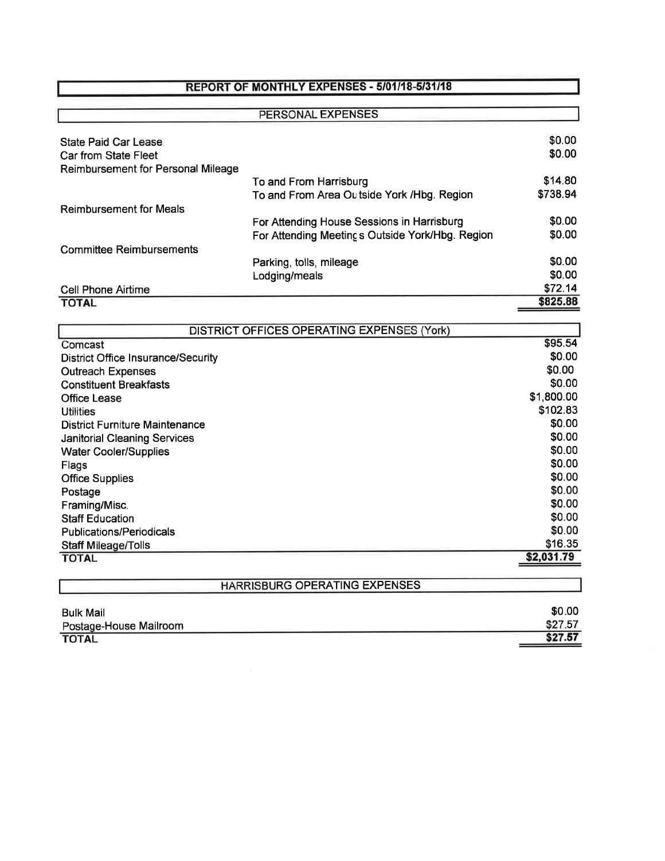## REPORT OF MONTHLY EXPENSES - 5/01/18-5/31/18

| PERSONAL EXPENSES                  |                                                  |          |
|------------------------------------|--------------------------------------------------|----------|
|                                    |                                                  |          |
| <b>State Paid Car Lease</b>        |                                                  | \$0.00   |
| Car from State Fleet               |                                                  | \$0.00   |
| Reimbursement for Personal Mileage |                                                  |          |
|                                    | To and From Harrisburg                           | \$14.80  |
|                                    | To and From Area Outside York / Hbg. Region      | \$738.94 |
| <b>Reimbursement for Meals</b>     |                                                  |          |
|                                    | For Attending House Sessions in Harrisburg       | \$0.00   |
|                                    | For Attending Meeting s Outside York/Hbg. Region | \$0.00   |
| <b>Committee Reimbursements</b>    |                                                  |          |
|                                    | Parking, tolls, mileage                          | \$0.00   |
|                                    | Lodging/meals                                    | \$0.00   |
| <b>Cell Phone Airtime</b>          |                                                  | \$72.14  |
| <b>TOTAL</b>                       |                                                  | \$825.88 |

| <b>DISTRICT OFFICES OPERATING EXPENSES (York)</b> |            |
|---------------------------------------------------|------------|
| Comcast                                           | \$95.54    |
| <b>District Office Insurance/Security</b>         | \$0.00     |
| <b>Outreach Expenses</b>                          | \$0.00     |
| <b>Constituent Breakfasts</b>                     | \$0.00     |
| Office Lease                                      | \$1,800.00 |
| <b>Utilities</b>                                  | \$102.83   |
| District Furniture Maintenance                    | \$0.00     |
| <b>Janitorial Cleaning Services</b>               | \$0.00     |
| <b>Water Cooler/Supplies</b>                      | \$0.00     |
| Flags                                             | \$0.00     |
| <b>Office Supplies</b>                            | \$0.00     |
| Postage                                           | \$0.00     |
| Framing/Misc.                                     | \$0.00     |
| <b>Staff Education</b>                            | \$0.00     |
| <b>Publications/Periodicals</b>                   | \$0.00     |
| <b>Staff Mileage/Tolls</b>                        | \$16.35    |
| <b>TOTAL</b>                                      | \$2,031.79 |
|                                                   |            |
| HARRISBURG OPERATING EXPENSES                     |            |

| \$0.00  |
|---------|
| \$27.57 |
| \$27.57 |
|         |